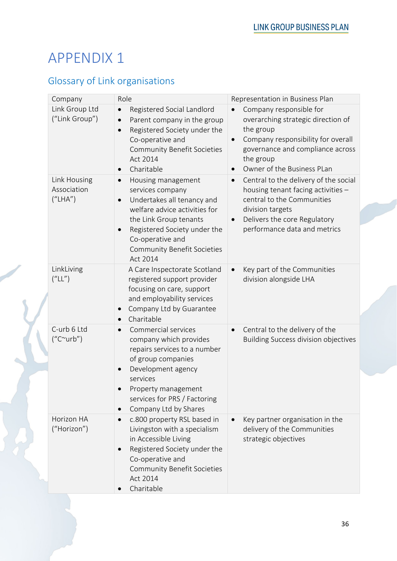## Glossary of Link organisations

| Company                                  | Role                                                                                                                                                                                                                                                            | Representation in Business Plan                                                                                                                                                                                                        |
|------------------------------------------|-----------------------------------------------------------------------------------------------------------------------------------------------------------------------------------------------------------------------------------------------------------------|----------------------------------------------------------------------------------------------------------------------------------------------------------------------------------------------------------------------------------------|
| Link Group Ltd<br>("Link Group")         | Registered Social Landlord<br>$\bullet$<br>Parent company in the group<br>$\bullet$<br>Registered Society under the<br>$\bullet$<br>Co-operative and<br><b>Community Benefit Societies</b><br>Act 2014<br>Charitable<br>$\bullet$                               | Company responsible for<br>$\bullet$<br>overarching strategic direction of<br>the group<br>Company responsibility for overall<br>$\bullet$<br>governance and compliance across<br>the group<br>Owner of the Business PLan<br>$\bullet$ |
| Link Housing<br>Association<br>(''LHA'') | Housing management<br>$\bullet$<br>services company<br>Undertakes all tenancy and<br>welfare advice activities for<br>the Link Group tenants<br>Registered Society under the<br>$\bullet$<br>Co-operative and<br><b>Community Benefit Societies</b><br>Act 2014 | Central to the delivery of the social<br>$\bullet$<br>housing tenant facing activities -<br>central to the Communities<br>division targets<br>Delivers the core Regulatory<br>$\bullet$<br>performance data and metrics                |
| LinkLiving<br>(''LL'')                   | A Care Inspectorate Scotland<br>registered support provider<br>focusing on care, support<br>and employability services<br>Company Ltd by Guarantee<br>Charitable                                                                                                | Key part of the Communities<br>$\bullet$<br>division alongside LHA                                                                                                                                                                     |
| C-urb 6 Ltd<br>$("C^{\sim}urb")$         | Commercial services<br>$\bullet$<br>company which provides<br>repairs services to a number<br>of group companies<br>Development agency<br>services<br>Property management<br>services for PRS / Factoring<br>Company Ltd by Shares<br>$\bullet$                 | Central to the delivery of the<br>$\bullet$<br><b>Building Success division objectives</b>                                                                                                                                             |
| Horizon HA<br>("Horizon")                | c.800 property RSL based in<br>$\bullet$<br>Livingston with a specialism<br>in Accessible Living<br>Registered Society under the<br>Co-operative and<br><b>Community Benefit Societies</b><br>Act 2014<br>Charitable                                            | Key partner organisation in the<br>$\bullet$<br>delivery of the Communities<br>strategic objectives                                                                                                                                    |

**CONTRACT**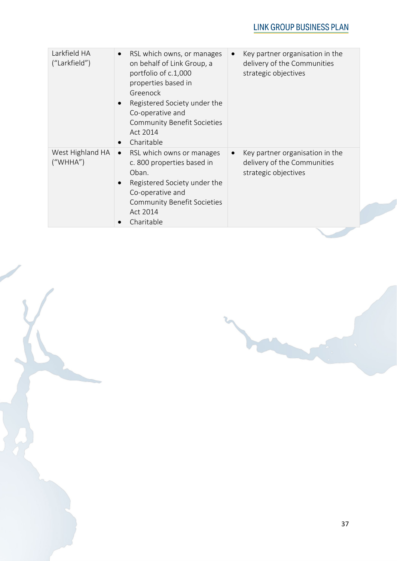| Larkfield HA<br>("Larkfield") | RSL which owns, or manages<br>$\bullet$<br>on behalf of Link Group, a<br>portfolio of c.1,000<br>properties based in<br>Greenock<br>Registered Society under the<br>Co-operative and<br><b>Community Benefit Societies</b><br>Act 2014<br>Charitable | Key partner organisation in the<br>$\bullet$<br>delivery of the Communities<br>strategic objectives |
|-------------------------------|------------------------------------------------------------------------------------------------------------------------------------------------------------------------------------------------------------------------------------------------------|-----------------------------------------------------------------------------------------------------|
| West Highland HA<br>("WHHA")  | RSL which owns or manages<br>$\bullet$<br>c. 800 properties based in<br>Oban.<br>Registered Society under the<br>$\bullet$<br>Co-operative and<br><b>Community Benefit Societies</b><br>Act 2014<br>Charitable                                       | Key partner organisation in the<br>$\bullet$<br>delivery of the Communities<br>strategic objectives |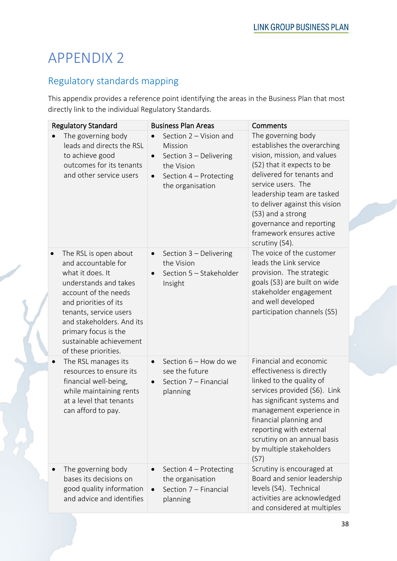### Regulatory standards mapping

This appendix provides a reference point identifying the areas in the Business Plan that most directly link to the individual Regulatory Standards.

| <b>Regulatory Standard</b>                                                                                                                                                                                                                                                   | <b>Business Plan Areas</b>                                                                                                                        | Comments                                                                                                                                                                                                                                                                                                                         |
|------------------------------------------------------------------------------------------------------------------------------------------------------------------------------------------------------------------------------------------------------------------------------|---------------------------------------------------------------------------------------------------------------------------------------------------|----------------------------------------------------------------------------------------------------------------------------------------------------------------------------------------------------------------------------------------------------------------------------------------------------------------------------------|
| The governing body<br>$\bullet$<br>leads and directs the RSL<br>to achieve good<br>outcomes for its tenants<br>and other service users                                                                                                                                       | Section 2 - Vision and<br>Mission<br>Section 3 - Delivering<br>$\bullet$<br>the Vision<br>Section 4 - Protecting<br>$\bullet$<br>the organisation | The governing body<br>establishes the overarching<br>vision, mission, and values<br>(S2) that it expects to be<br>delivered for tenants and<br>service users. The<br>leadership team are tasked<br>to deliver against this vision<br>(S3) and a strong<br>governance and reporting<br>framework ensures active<br>scrutiny (S4). |
| The RSL is open about<br>and accountable for<br>what it does. It<br>understands and takes<br>account of the needs<br>and priorities of its<br>tenants, service users<br>and stakeholders. And its<br>primary focus is the<br>sustainable achievement<br>of these priorities. | Section 3 - Delivering<br>$\bullet$<br>the Vision<br>Section 5 - Stakeholder<br>Insight                                                           | The voice of the customer<br>leads the Link service<br>provision. The strategic<br>goals (S3) are built on wide<br>stakeholder engagement<br>and well developed<br>participation channels (S5)                                                                                                                                   |
| The RSL manages its<br>resources to ensure its<br>financial well-being,<br>while maintaining rents<br>at a level that tenants<br>can afford to pay.                                                                                                                          | Section 6 - How do we<br>see the future<br>Section 7 - Financial<br>$\bullet$<br>planning                                                         | Financial and economic<br>effectiveness is directly<br>linked to the quality of<br>services provided (S6). Link<br>has significant systems and<br>management experience in<br>financial planning and<br>reporting with external<br>scrutiny on an annual basis<br>by multiple stakeholders<br>(S7)                               |
| The governing body<br>bases its decisions on<br>good quality information<br>and advice and identifies                                                                                                                                                                        | Section 4 - Protecting<br>the organisation<br>Section 7 - Financial<br>planning                                                                   | Scrutiny is encouraged at<br>Board and senior leadership<br>levels (S4). Technical<br>activities are acknowledged<br>and considered at multiples                                                                                                                                                                                 |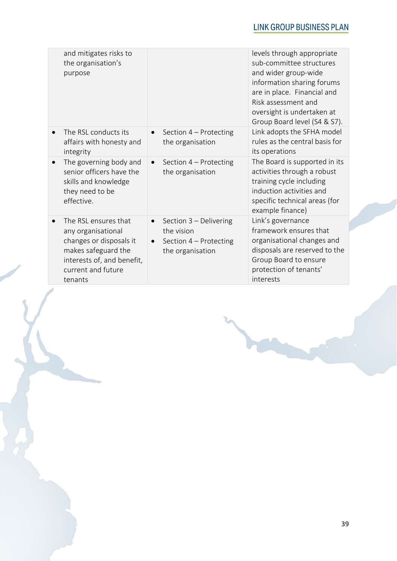|           | and mitigates risks to<br>the organisation's<br>purpose                                                                                                     |                                                                                                              | levels through appropriate<br>sub-committee structures<br>and wider group-wide<br>information sharing forums<br>are in place. Financial and<br>Risk assessment and<br>oversight is undertaken at<br>Group Board level (S4 & S7). |
|-----------|-------------------------------------------------------------------------------------------------------------------------------------------------------------|--------------------------------------------------------------------------------------------------------------|----------------------------------------------------------------------------------------------------------------------------------------------------------------------------------------------------------------------------------|
|           | The RSL conducts its<br>affairs with honesty and<br>integrity                                                                                               | Section 4 - Protecting<br>$\bullet$<br>the organisation                                                      | Link adopts the SFHA model<br>rules as the central basis for<br>its operations                                                                                                                                                   |
| $\bullet$ | The governing body and<br>senior officers have the<br>skills and knowledge<br>they need to be<br>effective.                                                 | Section 4 - Protecting<br>$\bullet$<br>the organisation                                                      | The Board is supported in its<br>activities through a robust<br>training cycle including<br>induction activities and<br>specific technical areas (for<br>example finance)                                                        |
|           | The RSL ensures that<br>any organisational<br>changes or disposals it<br>makes safeguard the<br>interests of, and benefit,<br>current and future<br>tenants | Section 3 - Delivering<br>$\bullet$<br>the vision<br>Section 4 - Protecting<br>$\bullet$<br>the organisation | Link's governance<br>framework ensures that<br>organisational changes and<br>disposals are reserved to the<br>Group Board to ensure<br>protection of tenants'<br>interests                                                       |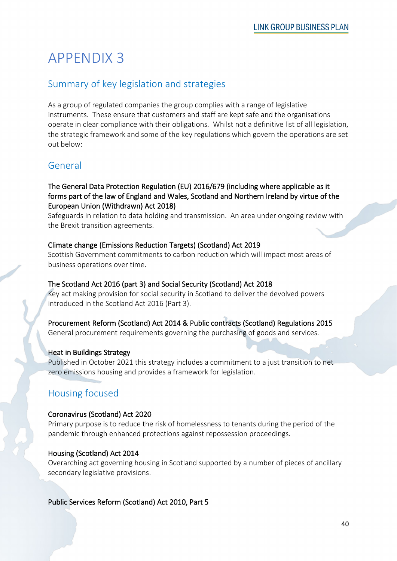### Summary of key legislation and strategies

As a group of regulated companies the group complies with a range of legislative instruments. These ensure that customers and staff are kept safe and the organisations operate in clear compliance with their obligations. Whilst not a definitive list of all legislation, the strategic framework and some of the key regulations which govern the operations are set out below:

### General

#### The General Data Protection Regulation (EU) 2016/679 (including where applicable as it forms part of the law of England and Wales, Scotland and Northern Ireland by virtue of the European Union (Withdrawn) Act 2018)

Safeguards in relation to data holding and transmission. An area under ongoing review with the Brexit transition agreements.

#### Climate change (Emissions Reduction Targets) (Scotland) Act 2019

Scottish Government commitments to carbon reduction which will impact most areas of business operations over time.

#### The Scotland Act 2016 (part 3) and Social Security (Scotland) Act 2018

Key act making provision for social security in Scotland to deliver the devolved powers introduced in the Scotland Act 2016 (Part 3).

Procurement Reform (Scotland) Act 2014 & Public contracts (Scotland) Regulations 2015

General procurement requirements governing the purchasing of goods and services.

#### Heat in Buildings Strategy

Published in October 2021 this strategy includes a commitment to a just transition to net zero emissions housing and provides a framework for legislation.

### Housing focused

#### Coronavirus (Scotland) Act 2020

Primary purpose is to reduce the risk of homelessness to tenants during the period of the pandemic through enhanced protections against repossession proceedings.

#### Housing (Scotland) Act 2014

Overarching act governing housing in Scotland supported by a number of pieces of ancillary secondary legislative provisions.

Public Services Reform (Scotland) Act 2010, Part 5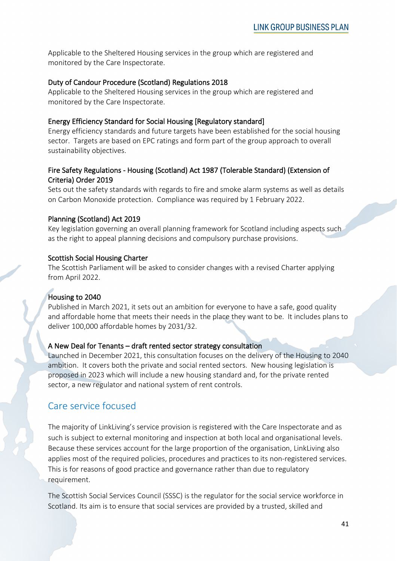Applicable to the Sheltered Housing services in the group which are registered and monitored by the Care Inspectorate.

#### Duty of Candour Procedure (Scotland) Regulations 2018

Applicable to the Sheltered Housing services in the group which are registered and monitored by the Care Inspectorate.

#### Energy Efficiency Standard for Social Housing [Regulatory standard]

Energy efficiency standards and future targets have been established for the social housing sector. Targets are based on EPC ratings and form part of the group approach to overall sustainability objectives.

#### Fire Safety Regulations - Housing (Scotland) Act 1987 (Tolerable Standard) (Extension of Criteria) Order 2019

Sets out the safety standards with regards to fire and smoke alarm systems as well as details on Carbon Monoxide protection. Compliance was required by 1 February 2022.

#### Planning (Scotland) Act 2019

Key legislation governing an overall planning framework for Scotland including aspects such as the right to appeal planning decisions and compulsory purchase provisions.

#### Scottish Social Housing Charter

The Scottish Parliament will be asked to consider changes with a revised Charter applying from April 2022.

#### Housing to 2040

Published in March 2021, it sets out an ambition for everyone to have a safe, good quality and affordable home that meets their needs in the place they want to be. It includes plans to deliver 100,000 affordable homes by 2031/32.

#### A New Deal for Tenants – draft rented sector strategy consultation

Launched in December 2021, this consultation focuses on the delivery of the Housing to 2040 ambition. It covers both the private and social rented sectors. New housing legislation is proposed in 2023 which will include a new housing standard and, for the private rented sector, a new regulator and national system of rent controls.

#### Care service focused

The majority of LinkLiving's service provision is registered with the Care Inspectorate and as such is subject to external monitoring and inspection at both local and organisational levels. Because these services account for the large proportion of the organisation, LinkLiving also applies most of the required policies, procedures and practices to its non-registered services. This is for reasons of good practice and governance rather than due to regulatory requirement.

The Scottish Social Services Council (SSSC) is the regulator for the social service workforce in Scotland. Its aim is to ensure that social services are provided by a trusted, skilled and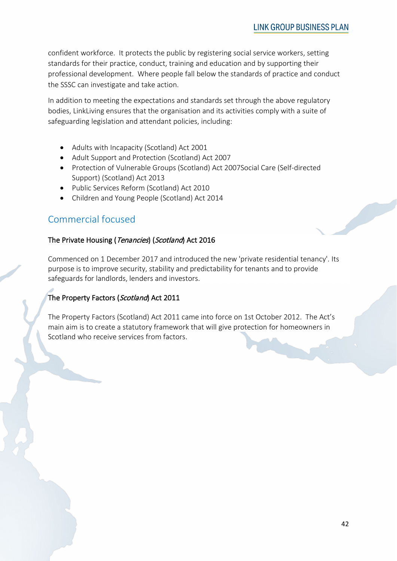confident workforce. It protects the public by registering social service workers, setting standards for their practice, conduct, training and education and by supporting their professional development. Where people fall below the standards of practice and conduct the SSSC can investigate and take action.

In addition to meeting the expectations and standards set through the above regulatory bodies, LinkLiving ensures that the organisation and its activities comply with a suite of safeguarding legislation and attendant policies, including:

- Adults with Incapacity (Scotland) Act 2001
- Adult Support and Protection (Scotland) Act 2007
- Protection of Vulnerable Groups (Scotland) Act 2007Social Care (Self-directed Support) (Scotland) Act 2013
- Public Services Reform (Scotland) Act 2010
- Children and Young People (Scotland) Act 2014

### Commercial focused

#### The Private Housing (Tenancies) (Scotland) Act 2016

Commenced on 1 December 2017 and introduced the new 'private residential tenancy'. Its purpose is to improve security, stability and predictability for tenants and to provide safeguards for landlords, lenders and investors.

#### The Property Factors (Scotland) Act 2011

The Property Factors (Scotland) Act 2011 came into force on 1st October 2012. The Act's main aim is to create a statutory framework that will give protection for homeowners in Scotland who receive services from factors.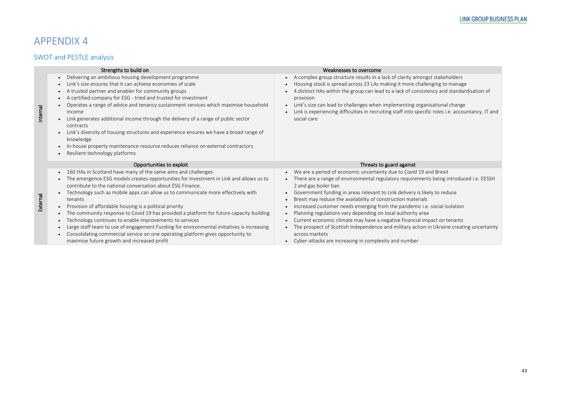## SWOT and PESTLE analysis

|          | Strengths to build on                                                                                                                                                                                                                                                                                                                                                                                                                                                                                                                                                                                                                                                                                                                                                  | Weaknesses to overcome                                                                                                                                                                                                                                                                                                                                                                                                                                                                                                                                                                                                                                                                                                                         |
|----------|------------------------------------------------------------------------------------------------------------------------------------------------------------------------------------------------------------------------------------------------------------------------------------------------------------------------------------------------------------------------------------------------------------------------------------------------------------------------------------------------------------------------------------------------------------------------------------------------------------------------------------------------------------------------------------------------------------------------------------------------------------------------|------------------------------------------------------------------------------------------------------------------------------------------------------------------------------------------------------------------------------------------------------------------------------------------------------------------------------------------------------------------------------------------------------------------------------------------------------------------------------------------------------------------------------------------------------------------------------------------------------------------------------------------------------------------------------------------------------------------------------------------------|
| Internal | Delivering an ambitious housing development programme<br>Link's size ensures that it can achieve economies of scale<br>A trusted partner and enabler for community groups<br>A certified company for ESG - tried and trusted for investment<br>Operates a range of advice and tenancy sustainment services which maximise household<br>income<br>Link generates additional income through the delivery of a range of public sector<br>contracts<br>Link's diversity of housing structures and experience ensures we have a broad range of<br>knowledge<br>In-house property maintenance resource reduces reliance on external contractors<br>Resilient technology platforms                                                                                            | A complex group structure results in a lack of clarity amongst stakeholders<br>$\bullet$<br>Housing stock is spread across 23 LAs making it more challenging to manage<br>4 distinct HAs within the group can lead to a lack of consistency and standardisation of<br>provision<br>Link's size can lead to challenges when implementing organisational change<br>$\bullet$<br>Link is experiencing difficulties in recruiting staff into specific roles i.e. accountancy, IT and<br>social care                                                                                                                                                                                                                                                |
|          | Opportunities to exploit                                                                                                                                                                                                                                                                                                                                                                                                                                                                                                                                                                                                                                                                                                                                               | Threats to guard against                                                                                                                                                                                                                                                                                                                                                                                                                                                                                                                                                                                                                                                                                                                       |
| External | • 160 HAs in Scotland have many of the same aims and challenges<br>The emergence ESG models creates opportunities for investment in Link and allows us to<br>contribute to the national conversation about ESG Finance.<br>Technology such as mobile apps can allow us to communicate more effectively with<br>tenants<br>Provision of affordable housing is a political priority<br>The community response to Covid 19 has provided a platform for future capacity building<br>Technology continues to enable improvements to services<br>Large staff team to use of engagement Funding for environmental initiatives is increasing<br>Consolidating commercial service on one operating platform gives opportunity to<br>maximise future growth and increased profit | We are a period of economic uncertainty due to Covid 19 and Brexit<br>There are a range of environmental regulatory requirements being introduced i.e. EESSH<br>$\bullet$<br>2 and gas boiler ban<br>Government funding in areas relevant to Link delivery is likely to reduce<br>Brexit may reduce the availability of construction materials<br>Increased customer needs emerging from the pandemic i.e. social isolation<br>Planning regulations vary depending on local authority area<br>Current economic climate may have a negative financial impact on tenants<br>The prospect of Scottish Independence and military action in Ukraine creating uncertainty<br>across markets<br>Cyber-attacks are increasing in complexity and number |

### LINK GROUP BUSINESS PLAN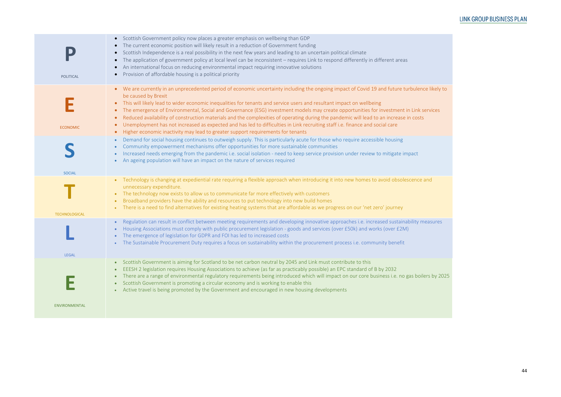| POLITICAL            | Scottish Government policy now places a greater emphasis on wellbeing than GDP<br>The current economic position will likely result in a reduction of Government funding<br>$\bullet$<br>Scottish Independence is a real possibility in the next few years and leading to an uncertain political climate<br>$\bullet$<br>The application of government policy at local level can be inconsistent - requires Link to respond differently in different areas<br>$\bullet$<br>An international focus on reducing environmental impact requiring innovative solutions<br>Provision of affordable housing is a political priority                                                                                                                                                                                                                            |
|----------------------|--------------------------------------------------------------------------------------------------------------------------------------------------------------------------------------------------------------------------------------------------------------------------------------------------------------------------------------------------------------------------------------------------------------------------------------------------------------------------------------------------------------------------------------------------------------------------------------------------------------------------------------------------------------------------------------------------------------------------------------------------------------------------------------------------------------------------------------------------------|
| <b>ECONOMIC</b>      | We are currently in an unprecedented period of economic uncertainty including the ongoing impact of Covid 19 and future turbulence likely to<br>$\bullet$<br>be caused by Brexit<br>This will likely lead to wider economic inequalities for tenants and service users and resultant impact on wellbeing<br>The emergence of Environmental, Social and Governance (ESG) investment models may create opportunities for investment in Link services<br>$\bullet$<br>Reduced availability of construction materials and the complexities of operating during the pandemic will lead to an increase in costs<br>Unemployment has not increased as expected and has led to difficulties in Link recruiting staff i.e. finance and social care<br>$\bullet$<br>Higher economic inactivity may lead to greater support requirements for tenants<br>$\bullet$ |
| <b>SOCIAL</b>        | Demand for social housing continues to outweigh supply. This is particularly acute for those who require accessible housing<br>$\bullet$<br>Community empowerment mechanisms offer opportunities for more sustainable communities<br>Increased needs emerging from the pandemic i.e. social isolation - need to keep service provision under review to mitigate impact<br>An ageing population will have an impact on the nature of services required                                                                                                                                                                                                                                                                                                                                                                                                  |
| <b>TECHNOLOGICAL</b> | Technology is changing at expediential rate requiring a flexible approach when introducing it into new homes to avoid obsolescence and<br>unnecessary expenditure.<br>The technology now exists to allow us to communicate far more effectively with customers<br>$\bullet$<br>Broadband providers have the ability and resources to put technology into new build homes<br>There is a need to find alternatives for existing heating systems that are affordable as we progress on our 'net zero' journey                                                                                                                                                                                                                                                                                                                                             |
| <b>LEGAL</b>         | Regulation can result in conflict between meeting requirements and developing innovative approaches i.e. increased sustainability measures<br>$\bullet$<br>Housing Associations must comply with public procurement legislation - goods and services (over £50k) and works (over £2M)<br>The emergence of legislation for GDPR and FOI has led to increased costs<br>The Sustainable Procurement Duty requires a focus on sustainability within the procurement process i.e. community benefit                                                                                                                                                                                                                                                                                                                                                         |
|                      | Scottish Government is aiming for Scotland to be net carbon neutral by 2045 and Link must contribute to this<br>$\bullet$<br>EEESH 2 legislation requires Housing Associations to achieve (as far as practicably possible) an EPC standard of B by 2032<br>$\bullet$<br>There are a range of environmental regulatory requirements being introduced which will impact on our core business i.e. no gas boilers by 2025<br>$\bullet$<br>Scottish Government is promoting a circular economy and is working to enable this<br>Active travel is being promoted by the Government and encouraged in new housing developments                                                                                                                                                                                                                               |
| <b>ENVIRONMENTAL</b> |                                                                                                                                                                                                                                                                                                                                                                                                                                                                                                                                                                                                                                                                                                                                                                                                                                                        |

### LINK GROUP BUSINESS PLAN

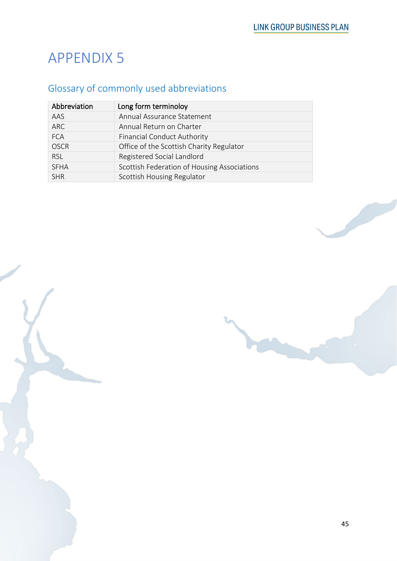## Glossary of commonly used abbreviations

| Abbreviation | Long form terminoloy                        |
|--------------|---------------------------------------------|
| AAS          | Annual Assurance Statement                  |
| <b>ARC</b>   | Annual Return on Charter                    |
| <b>FCA</b>   | <b>Financial Conduct Authority</b>          |
| <b>OSCR</b>  | Office of the Scottish Charity Regulator    |
| <b>RSL</b>   | Registered Social Landlord                  |
| <b>SFHA</b>  | Scottish Federation of Housing Associations |
| <b>SHR</b>   | Scottish Housing Regulator                  |

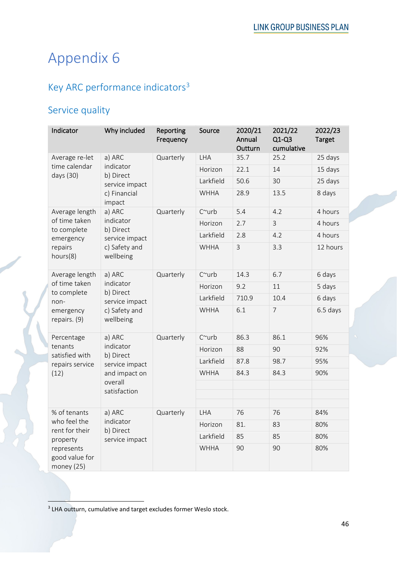# Appendix 6

## Key ARC performance indicators<sup>[3](#page-10-0)</sup>

### Service quality

| Indicator                                      | Why included                                                        | Reporting<br>Frequency | Source         | 2020/21<br>Annual<br>Outturn | 2021/22<br>$Q1-Q3$<br>cumulative | 2022/23<br>Target |
|------------------------------------------------|---------------------------------------------------------------------|------------------------|----------------|------------------------------|----------------------------------|-------------------|
| Average re-let                                 | a) ARC                                                              | Quarterly              | <b>LHA</b>     | 35.7                         | 25.2                             | 25 days           |
| time calendar<br>days (30)                     | indicator<br>b) Direct                                              |                        | Horizon        | 22.1                         | 14                               | 15 days           |
|                                                | service impact                                                      |                        | Larkfield      | 50.6                         | 30                               | 25 days           |
|                                                | c) Financial<br>impact                                              |                        | <b>WHHA</b>    | 28.9                         | 13.5                             | 8 days            |
| Average length                                 | a) ARC                                                              | Quarterly              | $C^{\sim}$ urb | 5.4                          | 4.2                              | 4 hours           |
| of time taken<br>to complete                   | indicator<br>b) Direct                                              |                        | Horizon        | 2.7                          | $\overline{3}$                   | 4 hours           |
| emergency                                      | service impact                                                      |                        | Larkfield      | 2.8                          | 4.2                              | 4 hours           |
| repairs<br>hours(8)                            | c) Safety and<br>wellbeing                                          |                        | <b>WHHA</b>    | $\mathsf{3}$                 | 3.3                              | 12 hours          |
| Average length<br>of time taken<br>to complete | a) ARC<br>indicator<br>b) Direct<br>service impact                  | Quarterly              | $C^{\sim}$ urb | 14.3                         | 6.7                              | 6 days            |
|                                                |                                                                     |                        | Horizon        | 9.2                          | 11                               | 5 days            |
| non-                                           |                                                                     |                        | Larkfield      | 710.9                        | 10.4                             | 6 days            |
| emergency<br>wellbeing<br>repairs. (9)         | c) Safety and                                                       |                        | <b>WHHA</b>    | 6.1                          | $\overline{7}$                   | 6.5 days          |
| Percentage                                     | a) ARC<br>indicator<br>b) Direct<br>service impact<br>and impact on | Quarterly              | $C^{\sim}$ urb | 86.3                         | 86.1                             | 96%               |
| tenants<br>satisfied with                      |                                                                     |                        | Horizon        | 88                           | 90                               | 92%               |
| repairs service                                |                                                                     |                        | Larkfield      | 87.8                         | 98.7                             | 95%               |
| (12)                                           |                                                                     |                        | <b>WHHA</b>    | 84.3                         | 84.3                             | 90%               |
|                                                | overall<br>satisfaction                                             |                        |                |                              |                                  |                   |
|                                                |                                                                     |                        |                |                              |                                  |                   |
| % of tenants                                   | a) ARC                                                              | Quarterly              | LHA            | 76                           | 76                               | 84%               |
| who feel the                                   | indicator                                                           |                        | Horizon        | 81.                          | 83                               | 80%               |
| rent for their<br>property                     | b) Direct<br>service impact                                         |                        | Larkfield      | 85                           | 85                               | 80%               |
| represents<br>good value for<br>money (25)     |                                                                     |                        | <b>WHHA</b>    | 90                           | 90                               | 80%               |

<span id="page-10-0"></span><sup>&</sup>lt;sup>3</sup> LHA outturn, cumulative and target excludes former Weslo stock.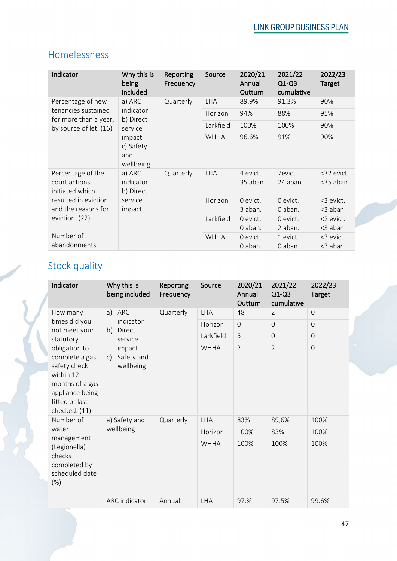### Homelessness

| Indicator                                             | Why this is<br>being<br>included        | Reporting<br>Frequency | Source      | 2020/21<br>Annual<br>Outturn | 2021/22<br>$Q1-Q3$<br>cumulative | 2022/23<br><b>Target</b>   |
|-------------------------------------------------------|-----------------------------------------|------------------------|-------------|------------------------------|----------------------------------|----------------------------|
| Percentage of new                                     | a) ARC                                  | Quarterly              | <b>LHA</b>  | 89.9%                        | 91.3%                            | 90%                        |
| tenancies sustained<br>for more than a year,          | indicator<br>b) Direct                  |                        | Horizon     | 94%                          | 88%                              | 95%                        |
| by source of let. (16)                                | service                                 |                        | Larkfield   | 100%                         | 100%                             | 90%                        |
|                                                       | impact<br>c) Safety<br>and<br>wellbeing |                        | <b>WHHA</b> | 96.6%                        | 91%                              | 90%                        |
| Percentage of the<br>court actions<br>initiated which | a) ARC<br>indicator<br>b) Direct        | Quarterly              | <b>LHA</b>  | 4 evict.<br>35 aban.         | 7evict.<br>24 aban.              | <32 evict.<br>$<$ 35 aban. |
| resulted in eviction<br>and the reasons for           | service<br>impact                       |                        | Horizon     | 0 evict.<br>3 aban.          | 0 evict.<br>0 aban.              | <3 evict.<br><3 aban.      |
| eviction. (22)                                        |                                         |                        | Larkfield   | 0 evict.<br>0 aban.          | 0 evict.<br>2 aban.              | <2 evict.<br><3 aban.      |
| Number of<br>abandonments                             |                                         |                        | <b>WHHA</b> | 0 evict.<br>0 aban.          | 1 evict<br>0 aban.               | <3 evict.<br><3 aban.      |

## Stock quality

| Indicator                                                                                                                             | Why this is<br>being included           | Reporting<br>Frequency | Source      | 2020/21<br>Annual<br>Outturn | 2021/22<br>$Q1-Q3$<br>cumulative | 2022/23<br><b>Target</b> |
|---------------------------------------------------------------------------------------------------------------------------------------|-----------------------------------------|------------------------|-------------|------------------------------|----------------------------------|--------------------------|
| How many                                                                                                                              | ARC<br>a)                               | Quarterly              | <b>LHA</b>  | 48                           | $\overline{2}$                   | $\overline{0}$           |
| times did you<br>not meet your                                                                                                        | indicator<br>Direct<br>b)               |                        | Horizon     | $\Omega$                     | $\overline{0}$                   | $\overline{0}$           |
| statutory                                                                                                                             | service                                 |                        | Larkfield   | 5                            | $\Omega$                         | $\Omega$                 |
| obligation to<br>complete a gas<br>safety check<br>within 12<br>months of a gas<br>appliance being<br>fitted or last<br>checked. (11) | impact<br>Safety and<br>C)<br>wellbeing |                        | <b>WHHA</b> | $\overline{2}$               | $\overline{2}$                   | $\overline{0}$           |
| Number of                                                                                                                             | a) Safety and                           | Quarterly              | <b>LHA</b>  | 83%                          | 89,6%                            | 100%                     |
| water                                                                                                                                 | wellbeing                               |                        | Horizon     | 100%                         | 83%                              | 100%                     |
| management<br>(Legionella)<br>checks<br>completed by<br>scheduled date<br>$(\%)$                                                      |                                         |                        | <b>WHHA</b> | 100%                         | 100%                             | 100%                     |
|                                                                                                                                       | <b>ARC</b> indicator                    | Annual                 | <b>LHA</b>  | 97.%                         | 97.5%                            | 99.6%                    |